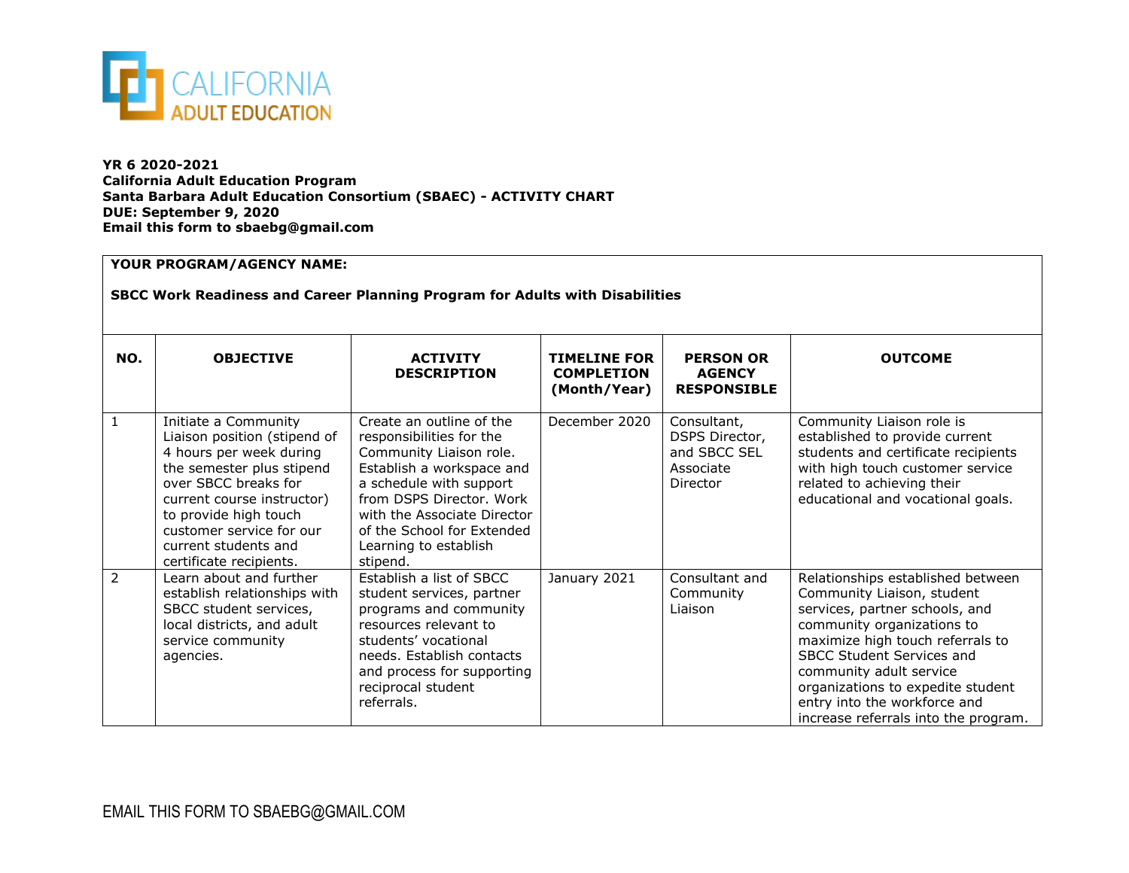

**YR 6 2020-2021 California Adult Education Program Santa Barbara Adult Education Consortium (SBAEC) - ACTIVITY CHART DUE: September 9, 2020 Email this form to sbaebg@gmail.com**

## **YOUR PROGRAM/AGENCY NAME:**

## **SBCC Work Readiness and Career Planning Program for Adults with Disabilities**

| NO.            | <b>OBJECTIVE</b>                                                                                                                                                                                                                                                           | <b>ACTIVITY</b><br><b>DESCRIPTION</b>                                                                                                                                                                                                                                 | <b>TIMELINE FOR</b><br><b>COMPLETION</b><br>(Month/Year) | <b>PERSON OR</b><br><b>AGENCY</b><br><b>RESPONSIBLE</b>                | <b>OUTCOME</b>                                                                                                                                                                                                                                                                                                                           |  |  |
|----------------|----------------------------------------------------------------------------------------------------------------------------------------------------------------------------------------------------------------------------------------------------------------------------|-----------------------------------------------------------------------------------------------------------------------------------------------------------------------------------------------------------------------------------------------------------------------|----------------------------------------------------------|------------------------------------------------------------------------|------------------------------------------------------------------------------------------------------------------------------------------------------------------------------------------------------------------------------------------------------------------------------------------------------------------------------------------|--|--|
| 1              | Initiate a Community<br>Liaison position (stipend of<br>4 hours per week during<br>the semester plus stipend<br>over SBCC breaks for<br>current course instructor)<br>to provide high touch<br>customer service for our<br>current students and<br>certificate recipients. | Create an outline of the<br>responsibilities for the<br>Community Liaison role.<br>Establish a workspace and<br>a schedule with support<br>from DSPS Director, Work<br>with the Associate Director<br>of the School for Extended<br>Learning to establish<br>stipend. | December 2020                                            | Consultant,<br>DSPS Director,<br>and SBCC SEL<br>Associate<br>Director | Community Liaison role is<br>established to provide current<br>students and certificate recipients<br>with high touch customer service<br>related to achieving their<br>educational and vocational goals.                                                                                                                                |  |  |
| $\overline{2}$ | Learn about and further<br>establish relationships with<br>SBCC student services,<br>local districts, and adult<br>service community<br>agencies.                                                                                                                          | Establish a list of SBCC<br>student services, partner<br>programs and community<br>resources relevant to<br>students' vocational<br>needs. Establish contacts<br>and process for supporting<br>reciprocal student<br>referrals.                                       | January 2021                                             | Consultant and<br>Community<br>Liaison                                 | Relationships established between<br>Community Liaison, student<br>services, partner schools, and<br>community organizations to<br>maximize high touch referrals to<br>SBCC Student Services and<br>community adult service<br>organizations to expedite student<br>entry into the workforce and<br>increase referrals into the program. |  |  |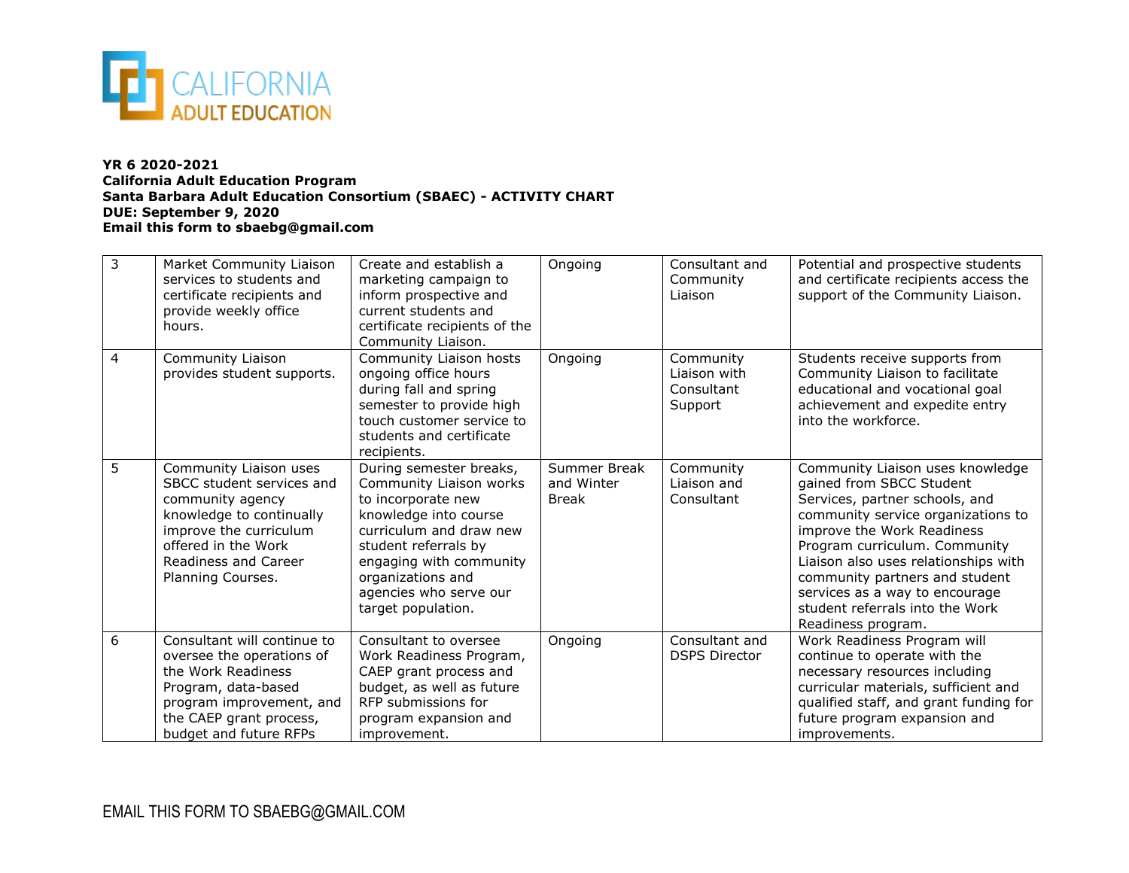

## **YR 6 2020-2021 California Adult Education Program Santa Barbara Adult Education Consortium (SBAEC) - ACTIVITY CHART DUE: September 9, 2020 Email this form to sbaebg@gmail.com**

| 3              | Market Community Liaison<br>services to students and<br>certificate recipients and<br>provide weekly office<br>hours.                                                                             | Create and establish a<br>marketing campaign to<br>inform prospective and<br>current students and<br>certificate recipients of the<br>Community Liaison.                                                                                             | Ongoing                                    | Consultant and<br>Community<br>Liaison             | Potential and prospective students<br>and certificate recipients access the<br>support of the Community Liaison.                                                                                                                                                                                                                                                         |
|----------------|---------------------------------------------------------------------------------------------------------------------------------------------------------------------------------------------------|------------------------------------------------------------------------------------------------------------------------------------------------------------------------------------------------------------------------------------------------------|--------------------------------------------|----------------------------------------------------|--------------------------------------------------------------------------------------------------------------------------------------------------------------------------------------------------------------------------------------------------------------------------------------------------------------------------------------------------------------------------|
| $\overline{4}$ | Community Liaison<br>provides student supports.                                                                                                                                                   | Community Liaison hosts<br>ongoing office hours<br>during fall and spring<br>semester to provide high<br>touch customer service to<br>students and certificate<br>recipients.                                                                        | Ongoing                                    | Community<br>Liaison with<br>Consultant<br>Support | Students receive supports from<br>Community Liaison to facilitate<br>educational and vocational goal<br>achievement and expedite entry<br>into the workforce.                                                                                                                                                                                                            |
| 5              | Community Liaison uses<br>SBCC student services and<br>community agency<br>knowledge to continually<br>improve the curriculum<br>offered in the Work<br>Readiness and Career<br>Planning Courses. | During semester breaks,<br>Community Liaison works<br>to incorporate new<br>knowledge into course<br>curriculum and draw new<br>student referrals by<br>engaging with community<br>organizations and<br>agencies who serve our<br>target population. | Summer Break<br>and Winter<br><b>Break</b> | Community<br>Liaison and<br>Consultant             | Community Liaison uses knowledge<br>gained from SBCC Student<br>Services, partner schools, and<br>community service organizations to<br>improve the Work Readiness<br>Program curriculum. Community<br>Liaison also uses relationships with<br>community partners and student<br>services as a way to encourage<br>student referrals into the Work<br>Readiness program. |
| 6              | Consultant will continue to<br>oversee the operations of<br>the Work Readiness<br>Program, data-based<br>program improvement, and<br>the CAEP grant process,<br>budget and future RFPs            | Consultant to oversee<br>Work Readiness Program,<br>CAEP grant process and<br>budget, as well as future<br>RFP submissions for<br>program expansion and<br>improvement.                                                                              | Ongoing                                    | Consultant and<br><b>DSPS Director</b>             | Work Readiness Program will<br>continue to operate with the<br>necessary resources including<br>curricular materials, sufficient and<br>qualified staff, and grant funding for<br>future program expansion and<br>improvements.                                                                                                                                          |